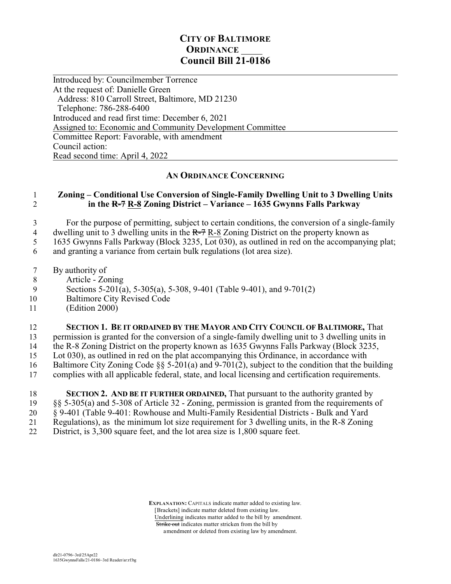## **CITY OF BALTIMORE ORDINANCE Council Bill 21-0186**

 $\overline{a}$ Introduced by: Councilmember Torrence At the request of: Danielle Green Address: 810 Carroll Street, Baltimore, MD 21230 Telephone: 786-288-6400 Introduced and read first time: December 6, 2021 Assigned to: Economic and Community Development Committee Committee Report: Favorable, with amendment Council action: Read second time: April 4, 2022

## **AN ORDINANCE CONCERNING**

## 1 **Zoning – Conditional Use Conversion of Single-Family Dwelling Unit to 3 Dwelling Units** 2 **in the R-7 R-8 Zoning District – Variance – 1635 Gwynns Falls Parkway**

3 For the purpose of permitting, subject to certain conditions, the conversion of a single-family 4 dwelling unit to 3 dwelling units in the  $R=7 R-8$  Zoning District on the property known as

5 1635 Gwynns Falls Parkway (Block 3235, Lot 030), as outlined in red on the accompanying plat;

6 and granting a variance from certain bulk regulations (lot area size).

- 7 By authority of
- 8 Article Zoning
- 9 Sections 5-201(a), 5-305(a), 5-308, 9-401 (Table 9-401), and 9-701(2)
- 10 Baltimore City Revised Code
- 11 (Edition 2000)

12 **SECTION 1. BE IT ORDAINED BY THE MAYOR AND CITY COUNCIL OF BALTIMORE,** That

13 permission is granted for the conversion of a single-family dwelling unit to 3 dwelling units in

14 the R-8 Zoning District on the property known as 1635 Gwynns Falls Parkway (Block 3235,

15 Lot 030), as outlined in red on the plat accompanying this Ordinance, in accordance with

- 16 Baltimore City Zoning Code  $\S$  5-201(a) and 9-701(2), subject to the condition that the building<br>17 complies with all applicable federal, state, and local licensing and certification requirements.
- 17 complies with all applicable federal, state, and local licensing and certification requirements.
- 18 **SECTION 2. AND BE IT FURTHER ORDAINED,** That pursuant to the authority granted by 19 §§ 5-305(a) and 5-308 of Article 32 - Zoning, permission is granted from the requirements of 20 § 9-401 (Table 9-401: Rowhouse and Multi-Family Residential Districts - Bulk and Yard 21 Regulations), as the minimum lot size requirement for 3 dwelling units, in the R-8 Zoning<br>22 District is 3 300 square feet and the lot area size is 1 800 square feet District, is 3,300 square feet, and the lot area size is 1,800 square feet.

 **EXPLANATION:** CAPITALS indicate matter added to existing law. [Brackets] indicate matter deleted from existing law. Underlining indicates matter added to the bill by amendment. Strike out indicates matter stricken from the bill by amendment or deleted from existing law by amendment.